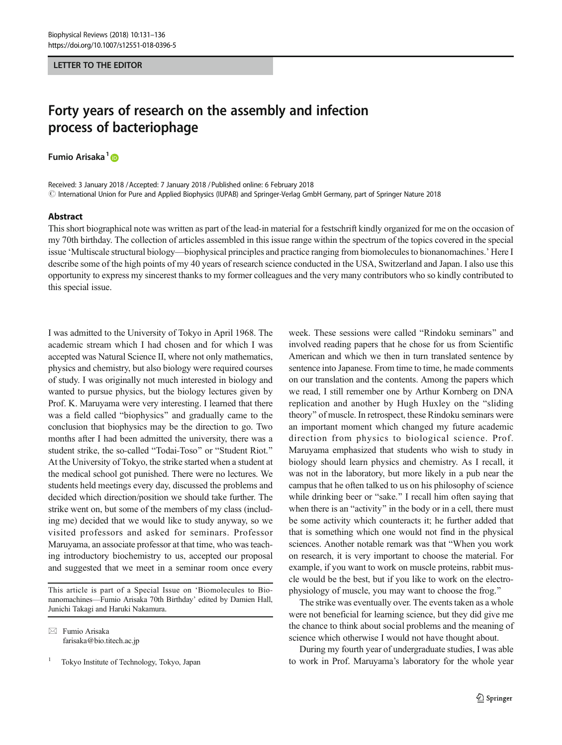#### LETTER TO THE EDITOR

# Forty years of research on the assembly and infection process of bacteriophage

## Fumio Arisaka<sup>1</sup>D

Received: 3 January 2018 /Accepted: 7 January 2018 /Published online: 6 February 2018  $\odot$  International Union for Pure and Applied Biophysics (IUPAB) and Springer-Verlag GmbH Germany, part of Springer Nature 2018

#### Abstract

This short biographical note was written as part of the lead-in material for a festschrift kindly organized for me on the occasion of my 70th birthday. The collection of articles assembled in this issue range within the spectrum of the topics covered in the special issue 'Multiscale structural biology—biophysical principles and practice ranging from biomolecules to bionanomachines.' Here I describe some of the high points of my 40 years of research science conducted in the USA, Switzerland and Japan. I also use this opportunity to express my sincerest thanks to my former colleagues and the very many contributors who so kindly contributed to this special issue.

I was admitted to the University of Tokyo in April 1968. The academic stream which I had chosen and for which I was accepted was Natural Science II, where not only mathematics, physics and chemistry, but also biology were required courses of study. I was originally not much interested in biology and wanted to pursue physics, but the biology lectures given by Prof. K. Maruyama were very interesting. I learned that there was a field called "biophysics" and gradually came to the conclusion that biophysics may be the direction to go. Two months after I had been admitted the university, there was a student strike, the so-called "Todai-Toso" or "Student Riot." At the University of Tokyo, the strike started when a student at the medical school got punished. There were no lectures. We students held meetings every day, discussed the problems and decided which direction/position we should take further. The strike went on, but some of the members of my class (including me) decided that we would like to study anyway, so we visited professors and asked for seminars. Professor Maruyama, an associate professor at that time, who was teaching introductory biochemistry to us, accepted our proposal and suggested that we meet in a seminar room once every

This article is part of a Special Issue on 'Biomolecules to Bionanomachines—Fumio Arisaka 70th Birthday' edited by Damien Hall, Junichi Takagi and Haruki Nakamura.

 $\boxtimes$  Fumio Arisaka [farisaka@bio.titech.ac.jp](mailto:farisaka@bio.titech.ac.jp)

<sup>1</sup> Tokyo Institute of Technology, Tokyo, Japan

week. These sessions were called "Rindoku seminars" and involved reading papers that he chose for us from Scientific American and which we then in turn translated sentence by sentence into Japanese. From time to time, he made comments on our translation and the contents. Among the papers which we read, I still remember one by Arthur Kornberg on DNA replication and another by Hugh Huxley on the "sliding" theory" of muscle. In retrospect, these Rindoku seminars were an important moment which changed my future academic direction from physics to biological science. Prof. Maruyama emphasized that students who wish to study in biology should learn physics and chemistry. As I recall, it was not in the laboratory, but more likely in a pub near the campus that he often talked to us on his philosophy of science while drinking beer or "sake." I recall him often saying that when there is an "activity" in the body or in a cell, there must be some activity which counteracts it; he further added that that is something which one would not find in the physical sciences. Another notable remark was that "When you work on research, it is very important to choose the material. For example, if you want to work on muscle proteins, rabbit muscle would be the best, but if you like to work on the electrophysiology of muscle, you may want to choose the frog."

The strike was eventually over. The events taken as a whole were not beneficial for learning science, but they did give me the chance to think about social problems and the meaning of science which otherwise I would not have thought about.

During my fourth year of undergraduate studies, I was able to work in Prof. Maruyama's laboratory for the whole year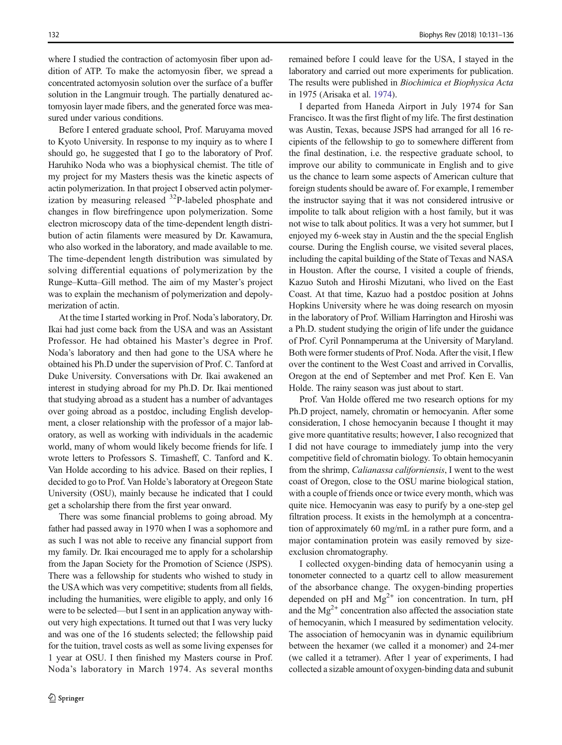where I studied the contraction of actomyosin fiber upon addition of ATP. To make the actomyosin fiber, we spread a concentrated actomyosin solution over the surface of a buffer solution in the Langmuir trough. The partially denatured actomyosin layer made fibers, and the generated force was measured under various conditions.

Before I entered graduate school, Prof. Maruyama moved to Kyoto University. In response to my inquiry as to where I should go, he suggested that I go to the laboratory of Prof. Haruhiko Noda who was a biophysical chemist. The title of my project for my Masters thesis was the kinetic aspects of actin polymerization. In that project I observed actin polymerization by measuring released  $32P$ -labeled phosphate and changes in flow birefringence upon polymerization. Some electron microscopy data of the time-dependent length distribution of actin filaments were measured by Dr. Kawamura, who also worked in the laboratory, and made available to me. The time-dependent length distribution was simulated by solving differential equations of polymerization by the Runge–Kutta–Gill method. The aim of my Master's project was to explain the mechanism of polymerization and depolymerization of actin.

At the time I started working in Prof. Noda's laboratory, Dr. Ikai had just come back from the USA and was an Assistant Professor. He had obtained his Master's degree in Prof. Noda's laboratory and then had gone to the USA where he obtained his Ph.D under the supervision of Prof. C. Tanford at Duke University. Conversations with Dr. Ikai awakened an interest in studying abroad for my Ph.D. Dr. Ikai mentioned that studying abroad as a student has a number of advantages over going abroad as a postdoc, including English development, a closer relationship with the professor of a major laboratory, as well as working with individuals in the academic world, many of whom would likely become friends for life. I wrote letters to Professors S. Timasheff, C. Tanford and K. Van Holde according to his advice. Based on their replies, I decided to go to Prof. Van Holde's laboratory at Oregeon State University (OSU), mainly because he indicated that I could get a scholarship there from the first year onward.

There was some financial problems to going abroad. My father had passed away in 1970 when I was a sophomore and as such I was not able to receive any financial support from my family. Dr. Ikai encouraged me to apply for a scholarship from the Japan Society for the Promotion of Science (JSPS). There was a fellowship for students who wished to study in the USA which was very competitive; students from all fields, including the humanities, were eligible to apply, and only 16 were to be selected—but I sent in an application anyway without very high expectations. It turned out that I was very lucky and was one of the 16 students selected; the fellowship paid for the tuition, travel costs as well as some living expenses for 1 year at OSU. I then finished my Masters course in Prof. Noda's laboratory in March 1974. As several months remained before I could leave for the USA, I stayed in the laboratory and carried out more experiments for publication. The results were published in Biochimica et Biophysica Acta in 1975 (Arisaka et al. [1974](#page-5-0)).

I departed from Haneda Airport in July 1974 for San Francisco. It was the first flight of my life. The first destination was Austin, Texas, because JSPS had arranged for all 16 recipients of the fellowship to go to somewhere different from the final destination, i.e. the respective graduate school, to improve our ability to communicate in English and to give us the chance to learn some aspects of American culture that foreign students should be aware of. For example, I remember the instructor saying that it was not considered intrusive or impolite to talk about religion with a host family, but it was not wise to talk about politics. It was a very hot summer, but I enjoyed my 6-week stay in Austin and the the special English course. During the English course, we visited several places, including the capital building of the State of Texas and NASA in Houston. After the course, I visited a couple of friends, Kazuo Sutoh and Hiroshi Mizutani, who lived on the East Coast. At that time, Kazuo had a postdoc position at Johns Hopkins University where he was doing research on myosin in the laboratory of Prof. William Harrington and Hiroshi was a Ph.D. student studying the origin of life under the guidance of Prof. Cyril Ponnamperuma at the University of Maryland. Both were former students of Prof. Noda. After the visit, I flew over the continent to the West Coast and arrived in Corvallis, Oregon at the end of September and met Prof. Ken E. Van Holde. The rainy season was just about to start.

Prof. Van Holde offered me two research options for my Ph.D project, namely, chromatin or hemocyanin. After some consideration, I chose hemocyanin because I thought it may give more quantitative results; however, I also recognized that I did not have courage to immediately jump into the very competitive field of chromatin biology. To obtain hemocyanin from the shrimp, Calianassa californiensis, I went to the west coast of Oregon, close to the OSU marine biological station, with a couple of friends once or twice every month, which was quite nice. Hemocyanin was easy to purify by a one-step gel filtration process. It exists in the hemolymph at a concentration of approximately 60 mg/mL in a rather pure form, and a major contamination protein was easily removed by sizeexclusion chromatography.

I collected oxygen-binding data of hemocyanin using a tonometer connected to a quartz cell to allow measurement of the absorbance change. The oxygen-binding properties depended on pH and  $Mg^{2+}$  ion concentration. In turn, pH and the  $Mg^{2+}$  concentration also affected the association state of hemocyanin, which I measured by sedimentation velocity. The association of hemocyanin was in dynamic equilibrium between the hexamer (we called it a monomer) and 24-mer (we called it a tetramer). After 1 year of experiments, I had collected a sizable amount of oxygen-binding data and subunit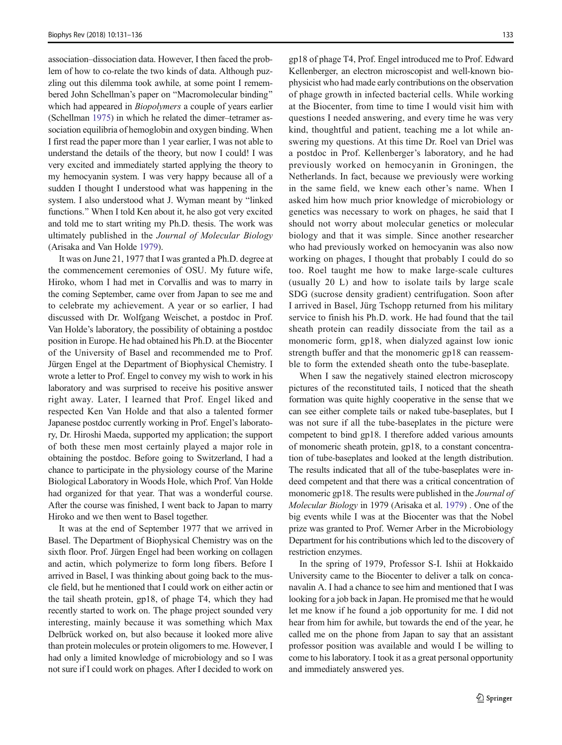association–dissociation data. However, I then faced the problem of how to co-relate the two kinds of data. Although puzzling out this dilemma took awhile, at some point I remembered John Schellman's paper on "Macromolecular binding" which had appeared in *Biopolymers* a couple of years earlier (Schellman [1975](#page-5-0)) in which he related the dimer–tetramer association equilibria of hemoglobin and oxygen binding. When I first read the paper more than 1 year earlier, I was not able to understand the details of the theory, but now I could! I was very excited and immediately started applying the theory to my hemocyanin system. I was very happy because all of a sudden I thought I understood what was happening in the system. I also understood what J. Wyman meant by "linked functions." When I told Ken about it, he also got very excited and told me to start writing my Ph.D. thesis. The work was ultimately published in the Journal of Molecular Biology (Arisaka and Van Holde [1979](#page-5-0)).

It was on June 21, 1977 that I was granted a Ph.D. degree at the commencement ceremonies of OSU. My future wife, Hiroko, whom I had met in Corvallis and was to marry in the coming September, came over from Japan to see me and to celebrate my achievement. A year or so earlier, I had discussed with Dr. Wolfgang Weischet, a postdoc in Prof. Van Holde's laboratory, the possibility of obtaining a postdoc position in Europe. He had obtained his Ph.D. at the Biocenter of the University of Basel and recommended me to Prof. Jürgen Engel at the Department of Biophysical Chemistry. I wrote a letter to Prof. Engel to convey my wish to work in his laboratory and was surprised to receive his positive answer right away. Later, I learned that Prof. Engel liked and respected Ken Van Holde and that also a talented former Japanese postdoc currently working in Prof. Engel's laboratory, Dr. Hiroshi Maeda, supported my application; the support of both these men most certainly played a major role in obtaining the postdoc. Before going to Switzerland, I had a chance to participate in the physiology course of the Marine Biological Laboratory in Woods Hole, which Prof. Van Holde had organized for that year. That was a wonderful course. After the course was finished, I went back to Japan to marry Hiroko and we then went to Basel together.

It was at the end of September 1977 that we arrived in Basel. The Department of Biophysical Chemistry was on the sixth floor. Prof. Jürgen Engel had been working on collagen and actin, which polymerize to form long fibers. Before I arrived in Basel, I was thinking about going back to the muscle field, but he mentioned that I could work on either actin or the tail sheath protein, gp18, of phage T4, which they had recently started to work on. The phage project sounded very interesting, mainly because it was something which Max Delbrück worked on, but also because it looked more alive than protein molecules or protein oligomers to me. However, I had only a limited knowledge of microbiology and so I was not sure if I could work on phages. After I decided to work on gp18 of phage T4, Prof. Engel introduced me to Prof. Edward Kellenberger, an electron microscopist and well-known biophysicist who had made early contributions on the observation of phage growth in infected bacterial cells. While working at the Biocenter, from time to time I would visit him with questions I needed answering, and every time he was very kind, thoughtful and patient, teaching me a lot while answering my questions. At this time Dr. Roel van Driel was a postdoc in Prof. Kellenberger's laboratory, and he had previously worked on hemocyanin in Groningen, the Netherlands. In fact, because we previously were working in the same field, we knew each other's name. When I asked him how much prior knowledge of microbiology or genetics was necessary to work on phages, he said that I should not worry about molecular genetics or molecular biology and that it was simple. Since another researcher who had previously worked on hemocyanin was also now working on phages, I thought that probably I could do so too. Roel taught me how to make large-scale cultures (usually 20 L) and how to isolate tails by large scale SDG (sucrose density gradient) centrifugation. Soon after I arrived in Basel, Jürg Tschopp returned from his military service to finish his Ph.D. work. He had found that the tail sheath protein can readily dissociate from the tail as a monomeric form, gp18, when dialyzed against low ionic strength buffer and that the monomeric gp18 can reassemble to form the extended sheath onto the tube-baseplate.

When I saw the negatively stained electron microscopy pictures of the reconstituted tails, I noticed that the sheath formation was quite highly cooperative in the sense that we can see either complete tails or naked tube-baseplates, but I was not sure if all the tube-baseplates in the picture were competent to bind gp18. I therefore added various amounts of monomeric sheath protein, gp18, to a constant concentration of tube-baseplates and looked at the length distribution. The results indicated that all of the tube-baseplates were indeed competent and that there was a critical concentration of monomeric gp18. The results were published in the *Journal of* Molecular Biology in 1979 (Arisaka et al. [1979\)](#page-5-0) . One of the big events while I was at the Biocenter was that the Nobel prize was granted to Prof. Werner Arber in the Microbiology Department for his contributions which led to the discovery of restriction enzymes.

In the spring of 1979, Professor S-I. Ishii at Hokkaido University came to the Biocenter to deliver a talk on concanavalin A. I had a chance to see him and mentioned that I was looking for a job back in Japan. He promised me that he would let me know if he found a job opportunity for me. I did not hear from him for awhile, but towards the end of the year, he called me on the phone from Japan to say that an assistant professor position was available and would I be willing to come to his laboratory. I took it as a great personal opportunity and immediately answered yes.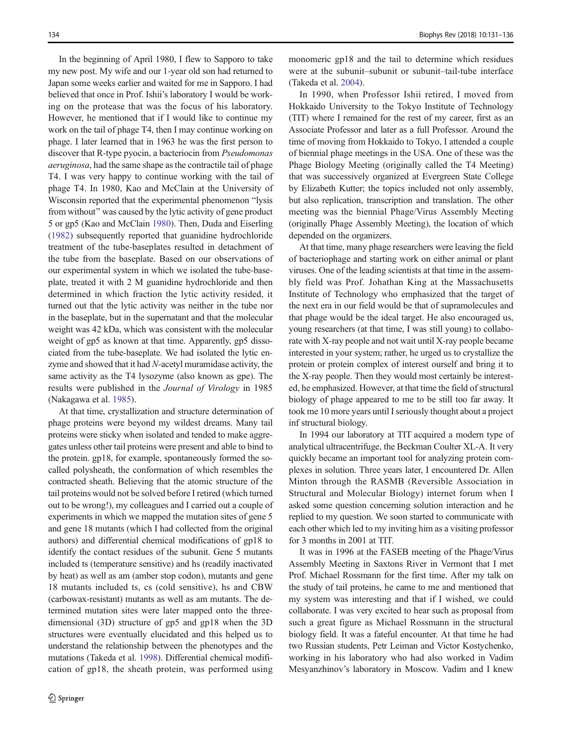In the beginning of April 1980, I flew to Sapporo to take my new post. My wife and our 1-year old son had returned to Japan some weeks earlier and waited for me in Sapporo. I had believed that once in Prof. Ishii's laboratory I would be working on the protease that was the focus of his laboratory. However, he mentioned that if I would like to continue my work on the tail of phage T4, then I may continue working on phage. I later learned that in 1963 he was the first person to discover that R-type pyocin, a bacteriocin from Pseudomonas aeruginosa, had the same shape as the contractile tail of phage T4. I was very happy to continue working with the tail of phage T4. In 1980, Kao and McClain at the University of Wisconsin reported that the experimental phenomenon "lysis from without" was caused by the lytic activity of gene product 5 or gp5 (Kao and McClain [1980\)](#page-5-0). Then, Duda and Eiserling [\(1982](#page-5-0)) subsequently reported that guanidine hydrochloride treatment of the tube-baseplates resulted in detachment of the tube from the baseplate. Based on our observations of our experimental system in which we isolated the tube-baseplate, treated it with 2 M guanidine hydrochloride and then determined in which fraction the lytic activity resided, it turned out that the lytic activity was neither in the tube nor in the baseplate, but in the supernatant and that the molecular weight was 42 kDa, which was consistent with the molecular weight of gp5 as known at that time. Apparently, gp5 dissociated from the tube-baseplate. We had isolated the lytic enzyme and showed that it had N-acetyl muramidase activity, the same activity as the T4 lysozyme (also known as gpe). The results were published in the Journal of Virology in 1985 (Nakagawa et al. [1985\)](#page-5-0).

At that time, crystallization and structure determination of phage proteins were beyond my wildest dreams. Many tail proteins were sticky when isolated and tended to make aggregates unless other tail proteins were present and able to bind to the protein. gp18, for example, spontaneously formed the socalled polysheath, the conformation of which resembles the contracted sheath. Believing that the atomic structure of the tail proteins would not be solved before I retired (which turned out to be wrong!), my colleagues and I carried out a couple of experiments in which we mapped the mutation sites of gene 5 and gene 18 mutants (which I had collected from the original authors) and differential chemical modifications of gp18 to identify the contact residues of the subunit. Gene 5 mutants included ts (temperature sensitive) and hs (readily inactivated by heat) as well as am (amber stop codon), mutants and gene 18 mutants included ts, cs (cold sensitive), hs and CBW (carbowax-resistant) mutants as well as am mutants. The determined mutation sites were later mapped onto the threedimensional (3D) structure of gp5 and gp18 when the 3D structures were eventually elucidated and this helped us to understand the relationship between the phenotypes and the mutations (Takeda et al. [1998](#page-5-0)). Differential chemical modification of gp18, the sheath protein, was performed using

monomeric gp18 and the tail to determine which residues were at the subunit–subunit or subunit–tail-tube interface (Takeda et al. [2004\)](#page-5-0).

In 1990, when Professor Ishii retired, I moved from Hokkaido University to the Tokyo Institute of Technology (TIT) where I remained for the rest of my career, first as an Associate Professor and later as a full Professor. Around the time of moving from Hokkaido to Tokyo, I attended a couple of biennial phage meetings in the USA. One of these was the Phage Biology Meeting (originally called the T4 Meeting) that was successively organized at Evergreen State College by Elizabeth Kutter; the topics included not only assembly, but also replication, transcription and translation. The other meeting was the biennial Phage/Virus Assembly Meeting (originally Phage Assembly Meeting), the location of which depended on the organizers.

At that time, many phage researchers were leaving the field of bacteriophage and starting work on either animal or plant viruses. One of the leading scientists at that time in the assembly field was Prof. Johathan King at the Massachusetts Institute of Technology who emphasized that the target of the next era in our field would be that of supramolecules and that phage would be the ideal target. He also encouraged us, young researchers (at that time, I was still young) to collaborate with X-ray people and not wait until X-ray people became interested in your system; rather, he urged us to crystallize the protein or protein complex of interest ourself and bring it to the X-ray people. Then they would most certainly be interested, he emphasized. However, at that time the field of structural biology of phage appeared to me to be still too far away. It took me 10 more years until I seriously thought about a project inf structural biology.

In 1994 our laboratory at TIT acquired a modern type of analytical ultracentrifuge, the Beckman Coulter XL-A. It very quickly became an important tool for analyzing protein complexes in solution. Three years later, I encountered Dr. Allen Minton through the RASMB (Reversible Association in Structural and Molecular Biology) internet forum when I asked some question concerning solution interaction and he replied to my question. We soon started to communicate with each other which led to my inviting him as a visiting professor for 3 months in 2001 at TIT.

It was in 1996 at the FASEB meeting of the Phage/Virus Assembly Meeting in Saxtons River in Vermont that I met Prof. Michael Rossmann for the first time. After my talk on the study of tail proteins, he came to me and mentioned that my system was interesting and that if I wished, we could collaborate. I was very excited to hear such as proposal from such a great figure as Michael Rossmann in the structural biology field. It was a fateful encounter. At that time he had two Russian students, Petr Leiman and Victor Kostychenko, working in his laboratory who had also worked in Vadim Mesyanzhinov's laboratory in Moscow. Vadim and I knew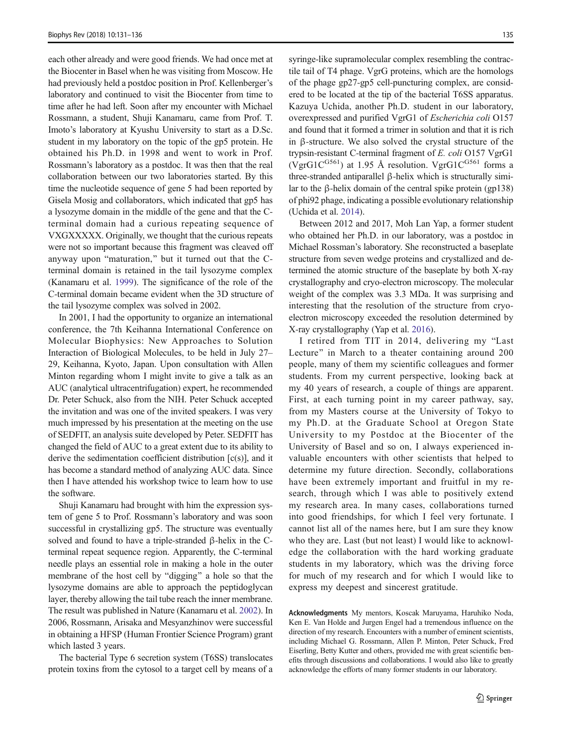each other already and were good friends. We had once met at the Biocenter in Basel when he was visiting from Moscow. He had previously held a postdoc position in Prof. Kellenberger's laboratory and continued to visit the Biocenter from time to time after he had left. Soon after my encounter with Michael Rossmann, a student, Shuji Kanamaru, came from Prof. T. Imoto's laboratory at Kyushu University to start as a D.Sc. student in my laboratory on the topic of the gp5 protein. He obtained his Ph.D. in 1998 and went to work in Prof. Rossmann's laboratory as a postdoc. It was then that the real collaboration between our two laboratories started. By this time the nucleotide sequence of gene 5 had been reported by Gisela Mosig and collaborators, which indicated that gp5 has a lysozyme domain in the middle of the gene and that the Cterminal domain had a curious repeating sequence of VXGXXXXX. Originally, we thought that the curious repeats were not so important because this fragment was cleaved off anyway upon "maturation," but it turned out that the Cterminal domain is retained in the tail lysozyme complex (Kanamaru et al. [1999](#page-5-0)). The significance of the role of the C-terminal domain became evident when the 3D structure of the tail lysozyme complex was solved in 2002.

In 2001, I had the opportunity to organize an international conference, the 7th Keihanna International Conference on Molecular Biophysics: New Approaches to Solution Interaction of Biological Molecules, to be held in July 27– 29, Keihanna, Kyoto, Japan. Upon consultation with Allen Minton regarding whom I might invite to give a talk as an AUC (analytical ultracentrifugation) expert, he recommended Dr. Peter Schuck, also from the NIH. Peter Schuck accepted the invitation and was one of the invited speakers. I was very much impressed by his presentation at the meeting on the use of SEDFIT, an analysis suite developed by Peter. SEDFIT has changed the field of AUC to a great extent due to its ability to derive the sedimentation coefficient distribution [c(s)], and it has become a standard method of analyzing AUC data. Since then I have attended his workshop twice to learn how to use the software.

Shuji Kanamaru had brought with him the expression system of gene 5 to Prof. Rossmann's laboratory and was soon successful in crystallizing gp5. The structure was eventually solved and found to have a triple-stranded β-helix in the Cterminal repeat sequence region. Apparently, the C-terminal needle plays an essential role in making a hole in the outer membrane of the host cell by "digging" a hole so that the lysozyme domains are able to approach the peptidoglycan layer, thereby allowing the tail tube reach the inner membrane. The result was published in Nature (Kanamaru et al. [2002](#page-5-0)). In 2006, Rossmann, Arisaka and Mesyanzhinov were successful in obtaining a HFSP (Human Frontier Science Program) grant which lasted 3 years.

The bacterial Type 6 secretion system (T6SS) translocates protein toxins from the cytosol to a target cell by means of a syringe-like supramolecular complex resembling the contractile tail of T4 phage. VgrG proteins, which are the homologs of the phage gp27-gp5 cell-puncturing complex, are considered to be located at the tip of the bacterial T6SS apparatus. Kazuya Uchida, another Ph.D. student in our laboratory, overexpressed and purified VgrG1 of Escherichia coli O157 and found that it formed a trimer in solution and that it is rich in β-structure. We also solved the crystal structure of the trypsin-resistant C-terminal fragment of E. coli O157 VgrG1 (VgrG1C<sup>G561</sup>) at 1.95 Å resolution. VgrG1C<sup>G561</sup> forms a three-stranded antiparallel β-helix which is structurally similar to the β-helix domain of the central spike protein (gp138) of phi92 phage, indicating a possible evolutionary relationship (Uchida et al. [2014](#page-5-0)).

Between 2012 and 2017, Moh Lan Yap, a former student who obtained her Ph.D. in our laboratory, was a postdoc in Michael Rossman's laboratory. She reconstructed a baseplate structure from seven wedge proteins and crystallized and determined the atomic structure of the baseplate by both X-ray crystallography and cryo-electron microscopy. The molecular weight of the complex was 3.3 MDa. It was surprising and interesting that the resolution of the structure from cryoelectron microscopy exceeded the resolution determined by X-ray crystallography (Yap et al. [2016](#page-5-0)).

I retired from TIT in 2014, delivering my "Last Lecture" in March to a theater containing around 200 people, many of them my scientific colleagues and former students. From my current perspective, looking back at my 40 years of research, a couple of things are apparent. First, at each turning point in my career pathway, say, from my Masters course at the University of Tokyo to my Ph.D. at the Graduate School at Oregon State University to my Postdoc at the Biocenter of the University of Basel and so on, I always experienced invaluable encounters with other scientists that helped to determine my future direction. Secondly, collaborations have been extremely important and fruitful in my research, through which I was able to positively extend my research area. In many cases, collaborations turned into good friendships, for which I feel very fortunate. I cannot list all of the names here, but I am sure they know who they are. Last (but not least) I would like to acknowledge the collaboration with the hard working graduate students in my laboratory, which was the driving force for much of my research and for which I would like to express my deepest and sincerest gratitude.

Acknowledgments My mentors, Koscak Maruyama, Haruhiko Noda, Ken E. Van Holde and Jurgen Engel had a tremendous influence on the direction of my research. Encounters with a number of eminent scientists, including Michael G. Rossmann, Allen P. Minton, Peter Schuck, Fred Eiserling, Betty Kutter and others, provided me with great scientific benefits through discussions and collaborations. I would also like to greatly acknowledge the efforts of many former students in our laboratory.